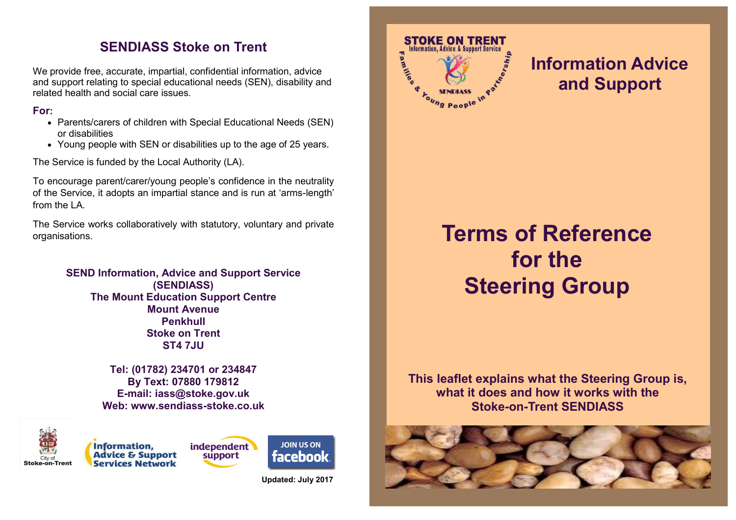### **SENDIASS Stoke on Trent**

We provide free, accurate, impartial, confidential information, advice and support relating to special educational needs (SEN), disability and related health and social care issues.

#### **For:**

- Parents/carers of children with Special Educational Needs (SEN) or disabilities
- Young people with SEN or disabilities up to the age of 25 years.

The Service is funded by the Local Authority (LA).

To encourage parent/carer/young people's confidence in the neutrality of the Service, it adopts an impartial stance and is run at 'arms-length' from the LA.

The Service works collaboratively with statutory, voluntary and private organisations.

> **SEND Information, Advice and Support Service (SENDIASS) The Mount Education Support Centre Mount Avenue Penkhull Stoke on Trent ST4 7JU**

> > **Tel: (01782) 234701 or 234847 By Text: 07880 179812 E-mail: iass@stoke.gov.uk Web: www.sendiass-stoke.co.uk**



**Information. Advice & Support Services Network** 





**Updated: July 2017**



## **Information Advice and Support**

# **Terms of Reference for the Steering Group**

**This leaflet explains what the Steering Group is, what it does and how it works with the Stoke-on-Trent SENDIASS**